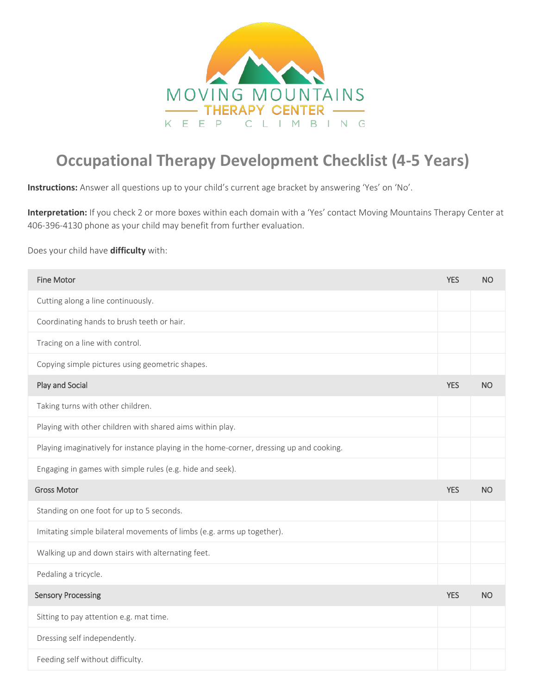

## **Occupational Therapy Development Checklist (4-5 Years)**

**Instructions:** Answer all questions up to your child's current age bracket by answering 'Yes' on 'No'.

**Interpretation:** If you check 2 or more boxes within each domain with a 'Yes' contact Moving Mountains Therapy Center at 406-396-4130 phone as your child may benefit from further evaluation.

## Does your child have **difficulty** with:

| <b>Fine Motor</b>                                                                       | <b>YES</b> | <b>NO</b> |
|-----------------------------------------------------------------------------------------|------------|-----------|
| Cutting along a line continuously.                                                      |            |           |
| Coordinating hands to brush teeth or hair.                                              |            |           |
| Tracing on a line with control.                                                         |            |           |
| Copying simple pictures using geometric shapes.                                         |            |           |
| Play and Social                                                                         | <b>YES</b> | <b>NO</b> |
| Taking turns with other children.                                                       |            |           |
| Playing with other children with shared aims within play.                               |            |           |
| Playing imaginatively for instance playing in the home-corner, dressing up and cooking. |            |           |
| Engaging in games with simple rules (e.g. hide and seek).                               |            |           |
| <b>Gross Motor</b>                                                                      | <b>YES</b> | <b>NO</b> |
| Standing on one foot for up to 5 seconds.                                               |            |           |
| Imitating simple bilateral movements of limbs (e.g. arms up together).                  |            |           |
| Walking up and down stairs with alternating feet.                                       |            |           |
| Pedaling a tricycle.                                                                    |            |           |
| <b>Sensory Processing</b>                                                               | <b>YES</b> | <b>NO</b> |
| Sitting to pay attention e.g. mat time.                                                 |            |           |
| Dressing self independently.                                                            |            |           |
| Feeding self without difficulty.                                                        |            |           |